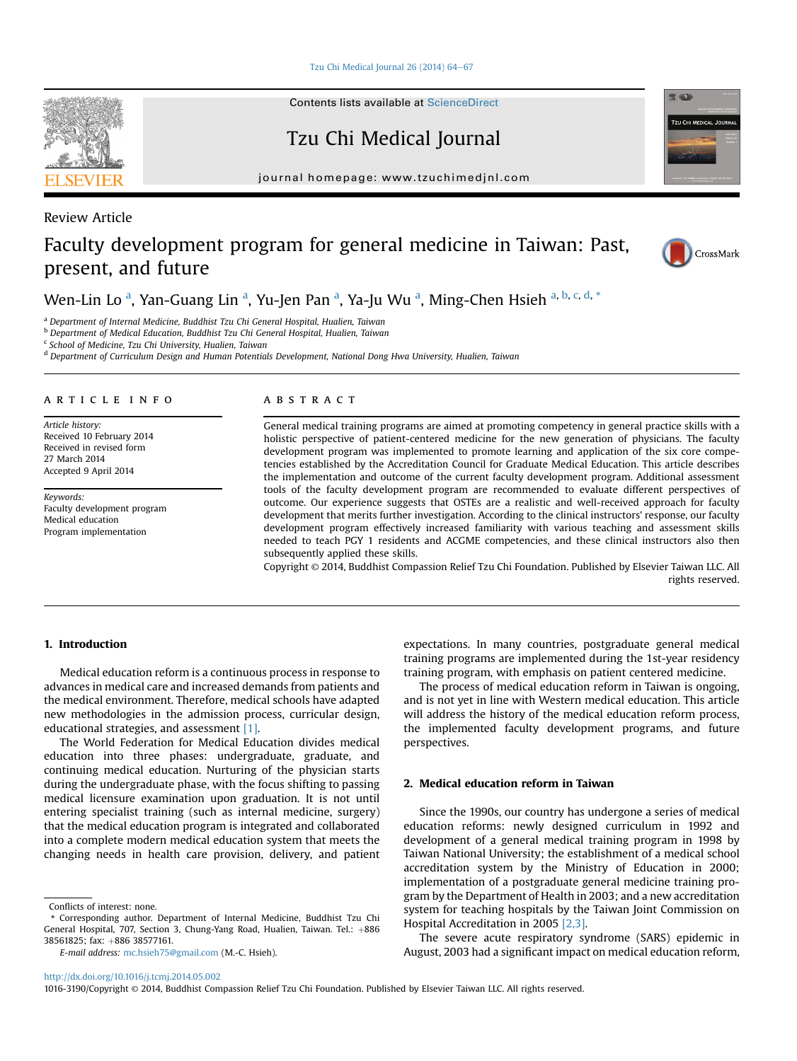[Tzu Chi Medical Journal 26 \(2014\) 64](http://dx.doi.org/10.1016/j.tcmj.2014.05.002)-[67](http://dx.doi.org/10.1016/j.tcmj.2014.05.002)

Contents lists available at [ScienceDirect](www.sciencedirect.com/science/journal/10163190)

Tzu Chi Medical Journal

journal homepage: [www.tzuchimedjnl.com](http://www.tzuchimedjnl.com)

# Review Article

## Faculty development program for general medicine in Taiwan: Past, present, and future



<sup>a</sup> Department of Internal Medicine, Buddhist Tzu Chi General Hospital, Hualien, Taiwan

**b** Department of Medical Education, Buddhist Tzu Chi General Hospital, Hualien, Taiwan

<sup>c</sup> School of Medicine, Tzu Chi University, Hualien, Taiwan

<sup>d</sup> Department of Curriculum Design and Human Potentials Development, National Dong Hwa University, Hualien, Taiwan

#### article info

Article history: Received 10 February 2014 Received in revised form 27 March 2014 Accepted 9 April 2014

Keywords: Faculty development program Medical education Program implementation

#### ABSTRACT

General medical training programs are aimed at promoting competency in general practice skills with a holistic perspective of patient-centered medicine for the new generation of physicians. The faculty development program was implemented to promote learning and application of the six core competencies established by the Accreditation Council for Graduate Medical Education. This article describes the implementation and outcome of the current faculty development program. Additional assessment tools of the faculty development program are recommended to evaluate different perspectives of outcome. Our experience suggests that OSTEs are a realistic and well-received approach for faculty development that merits further investigation. According to the clinical instructors' response, our faculty development program effectively increased familiarity with various teaching and assessment skills needed to teach PGY 1 residents and ACGME competencies, and these clinical instructors also then subsequently applied these skills.

Copyright © 2014, Buddhist Compassion Relief Tzu Chi Foundation. Published by Elsevier Taiwan LLC. All rights reserved.

#### 1. Introduction

Medical education reform is a continuous process in response to advances in medical care and increased demands from patients and the medical environment. Therefore, medical schools have adapted new methodologies in the admission process, curricular design, educational strategies, and assessment [\[1\].](#page-3-0)

The World Federation for Medical Education divides medical education into three phases: undergraduate, graduate, and continuing medical education. Nurturing of the physician starts during the undergraduate phase, with the focus shifting to passing medical licensure examination upon graduation. It is not until entering specialist training (such as internal medicine, surgery) that the medical education program is integrated and collaborated into a complete modern medical education system that meets the changing needs in health care provision, delivery, and patient

E-mail address: [mc.hsieh75@gmail.com](mailto:mc.hsieh75@gmail.com) (M.-C. Hsieh).

expectations. In many countries, postgraduate general medical training programs are implemented during the 1st-year residency training program, with emphasis on patient centered medicine.

The process of medical education reform in Taiwan is ongoing, and is not yet in line with Western medical education. This article will address the history of the medical education reform process, the implemented faculty development programs, and future perspectives.

#### 2. Medical education reform in Taiwan

Since the 1990s, our country has undergone a series of medical education reforms: newly designed curriculum in 1992 and development of a general medical training program in 1998 by Taiwan National University; the establishment of a medical school accreditation system by the Ministry of Education in 2000; implementation of a postgraduate general medicine training program by the Department of Health in 2003; and a new accreditation system for teaching hospitals by the Taiwan Joint Commission on Hospital Accreditation in 2005 [\[2,3\]](#page-3-0).

The severe acute respiratory syndrome (SARS) epidemic in August, 2003 had a significant impact on medical education reform,





CrossMark

Conflicts of interest: none.

<sup>\*</sup> Corresponding author. Department of Internal Medicine, Buddhist Tzu Chi General Hospital, 707, Section 3, Chung-Yang Road, Hualien, Taiwan. Tel.: +886 38561825; fax: +886 38577161.

<sup>1016-3190/</sup>Copyright © 2014, Buddhist Compassion Relief Tzu Chi Foundation. Published by Elsevier Taiwan LLC. All rights reserved.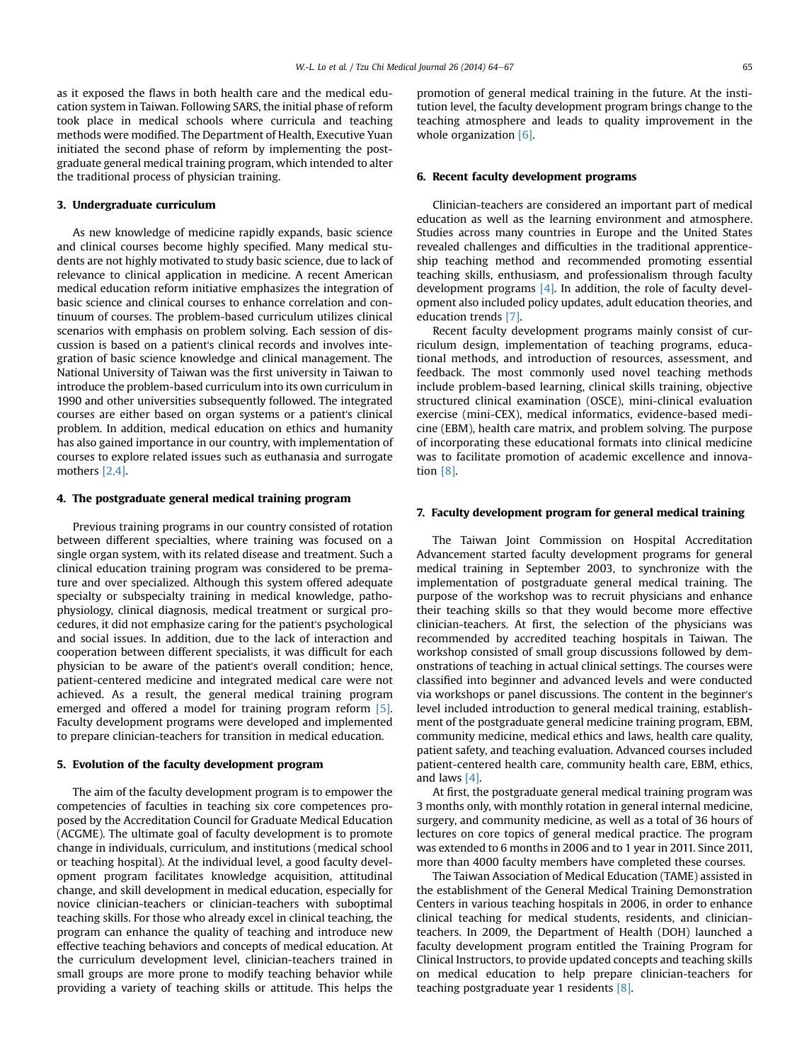as it exposed the flaws in both health care and the medical education system in Taiwan. Following SARS, the initial phase of reform took place in medical schools where curricula and teaching methods were modified. The Department of Health, Executive Yuan initiated the second phase of reform by implementing the postgraduate general medical training program, which intended to alter the traditional process of physician training.

#### 3. Undergraduate curriculum

As new knowledge of medicine rapidly expands, basic science and clinical courses become highly specified. Many medical students are not highly motivated to study basic science, due to lack of relevance to clinical application in medicine. A recent American medical education reform initiative emphasizes the integration of basic science and clinical courses to enhance correlation and continuum of courses. The problem-based curriculum utilizes clinical scenarios with emphasis on problem solving. Each session of discussion is based on a patient's clinical records and involves integration of basic science knowledge and clinical management. The National University of Taiwan was the first university in Taiwan to introduce the problem-based curriculum into its own curriculum in 1990 and other universities subsequently followed. The integrated courses are either based on organ systems or a patient's clinical problem. In addition, medical education on ethics and humanity has also gained importance in our country, with implementation of courses to explore related issues such as euthanasia and surrogate mothers [\[2,4\].](#page-3-0)

#### 4. The postgraduate general medical training program

Previous training programs in our country consisted of rotation between different specialties, where training was focused on a single organ system, with its related disease and treatment. Such a clinical education training program was considered to be premature and over specialized. Although this system offered adequate specialty or subspecialty training in medical knowledge, pathophysiology, clinical diagnosis, medical treatment or surgical procedures, it did not emphasize caring for the patient's psychological and social issues. In addition, due to the lack of interaction and cooperation between different specialists, it was difficult for each physician to be aware of the patient's overall condition; hence, patient-centered medicine and integrated medical care were not achieved. As a result, the general medical training program emerged and offered a model for training program reform [\[5\].](#page-3-0) Faculty development programs were developed and implemented to prepare clinician-teachers for transition in medical education.

#### 5. Evolution of the faculty development program

The aim of the faculty development program is to empower the competencies of faculties in teaching six core competences proposed by the Accreditation Council for Graduate Medical Education (ACGME). The ultimate goal of faculty development is to promote change in individuals, curriculum, and institutions (medical school or teaching hospital). At the individual level, a good faculty development program facilitates knowledge acquisition, attitudinal change, and skill development in medical education, especially for novice clinician-teachers or clinician-teachers with suboptimal teaching skills. For those who already excel in clinical teaching, the program can enhance the quality of teaching and introduce new effective teaching behaviors and concepts of medical education. At the curriculum development level, clinician-teachers trained in small groups are more prone to modify teaching behavior while providing a variety of teaching skills or attitude. This helps the

promotion of general medical training in the future. At the institution level, the faculty development program brings change to the teaching atmosphere and leads to quality improvement in the whole organization [\[6\]](#page-3-0).

#### 6. Recent faculty development programs

Clinician-teachers are considered an important part of medical education as well as the learning environment and atmosphere. Studies across many countries in Europe and the United States revealed challenges and difficulties in the traditional apprenticeship teaching method and recommended promoting essential teaching skills, enthusiasm, and professionalism through faculty development programs  $[4]$ . In addition, the role of faculty development also included policy updates, adult education theories, and education trends [\[7\].](#page-3-0)

Recent faculty development programs mainly consist of curriculum design, implementation of teaching programs, educational methods, and introduction of resources, assessment, and feedback. The most commonly used novel teaching methods include problem-based learning, clinical skills training, objective structured clinical examination (OSCE), mini-clinical evaluation exercise (mini-CEX), medical informatics, evidence-based medicine (EBM), health care matrix, and problem solving. The purpose of incorporating these educational formats into clinical medicine was to facilitate promotion of academic excellence and innovation [\[8\]](#page-3-0).

#### 7. Faculty development program for general medical training

The Taiwan Joint Commission on Hospital Accreditation Advancement started faculty development programs for general medical training in September 2003, to synchronize with the implementation of postgraduate general medical training. The purpose of the workshop was to recruit physicians and enhance their teaching skills so that they would become more effective clinician-teachers. At first, the selection of the physicians was recommended by accredited teaching hospitals in Taiwan. The workshop consisted of small group discussions followed by demonstrations of teaching in actual clinical settings. The courses were classified into beginner and advanced levels and were conducted via workshops or panel discussions. The content in the beginner's level included introduction to general medical training, establishment of the postgraduate general medicine training program, EBM, community medicine, medical ethics and laws, health care quality, patient safety, and teaching evaluation. Advanced courses included patient-centered health care, community health care, EBM, ethics, and laws [\[4\]](#page-3-0).

At first, the postgraduate general medical training program was 3 months only, with monthly rotation in general internal medicine, surgery, and community medicine, as well as a total of 36 hours of lectures on core topics of general medical practice. The program was extended to 6 months in 2006 and to 1 year in 2011. Since 2011, more than 4000 faculty members have completed these courses.

The Taiwan Association of Medical Education (TAME) assisted in the establishment of the General Medical Training Demonstration Centers in various teaching hospitals in 2006, in order to enhance clinical teaching for medical students, residents, and clinicianteachers. In 2009, the Department of Health (DOH) launched a faculty development program entitled the Training Program for Clinical Instructors, to provide updated concepts and teaching skills on medical education to help prepare clinician-teachers for teaching postgraduate year 1 residents [\[8\].](#page-3-0)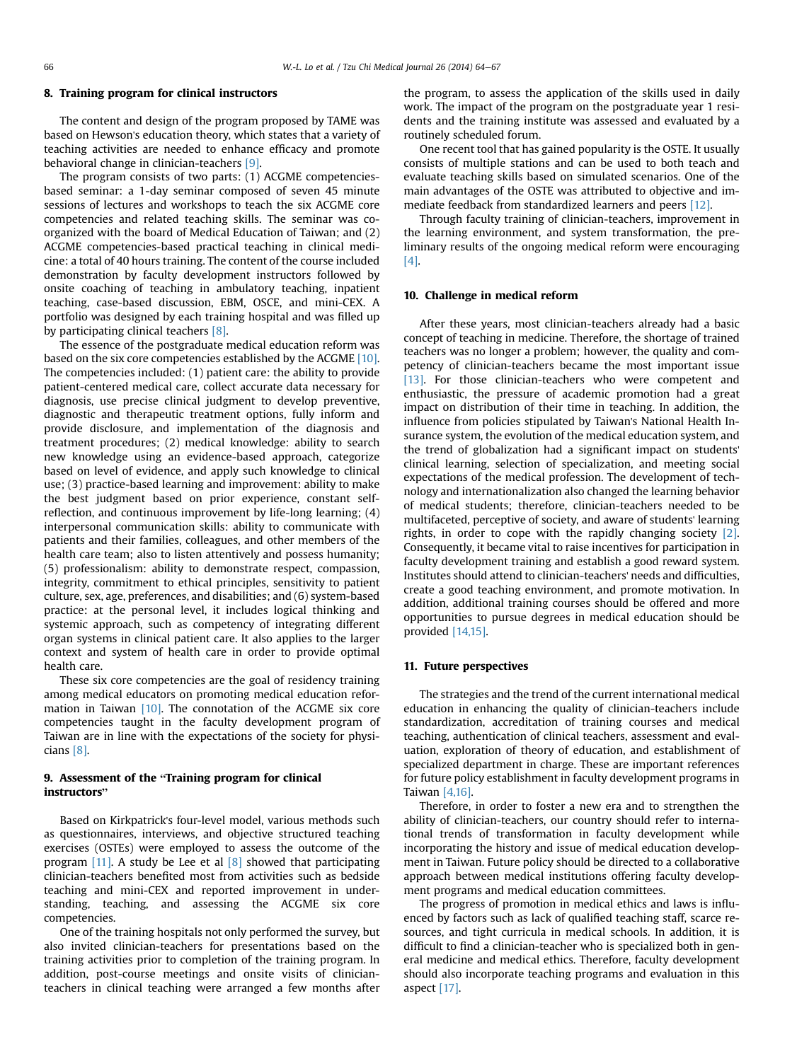#### 8. Training program for clinical instructors

The content and design of the program proposed by TAME was based on Hewson's education theory, which states that a variety of teaching activities are needed to enhance efficacy and promote behavioral change in clinician-teachers [\[9\].](#page-3-0)

The program consists of two parts: (1) ACGME competenciesbased seminar: a 1-day seminar composed of seven 45 minute sessions of lectures and workshops to teach the six ACGME core competencies and related teaching skills. The seminar was coorganized with the board of Medical Education of Taiwan; and (2) ACGME competencies-based practical teaching in clinical medicine: a total of 40 hours training. The content of the course included demonstration by faculty development instructors followed by onsite coaching of teaching in ambulatory teaching, inpatient teaching, case-based discussion, EBM, OSCE, and mini-CEX. A portfolio was designed by each training hospital and was filled up by participating clinical teachers [\[8\]](#page-3-0).

The essence of the postgraduate medical education reform was based on the six core competencies established by the ACGME [\[10\].](#page-3-0) The competencies included: (1) patient care: the ability to provide patient-centered medical care, collect accurate data necessary for diagnosis, use precise clinical judgment to develop preventive, diagnostic and therapeutic treatment options, fully inform and provide disclosure, and implementation of the diagnosis and treatment procedures; (2) medical knowledge: ability to search new knowledge using an evidence-based approach, categorize based on level of evidence, and apply such knowledge to clinical use; (3) practice-based learning and improvement: ability to make the best judgment based on prior experience, constant selfreflection, and continuous improvement by life-long learning; (4) interpersonal communication skills: ability to communicate with patients and their families, colleagues, and other members of the health care team; also to listen attentively and possess humanity; (5) professionalism: ability to demonstrate respect, compassion, integrity, commitment to ethical principles, sensitivity to patient culture, sex, age, preferences, and disabilities; and (6) system-based practice: at the personal level, it includes logical thinking and systemic approach, such as competency of integrating different organ systems in clinical patient care. It also applies to the larger context and system of health care in order to provide optimal health care.

These six core competencies are the goal of residency training among medical educators on promoting medical education reformation in Taiwan [\[10\]](#page-3-0). The connotation of the ACGME six core competencies taught in the faculty development program of Taiwan are in line with the expectations of the society for physicians [\[8\]](#page-3-0).

### 9. Assessment of the "Training program for clinical 9. Assessme<br>instructors"

Based on Kirkpatrick's four-level model, various methods such as questionnaires, interviews, and objective structured teaching exercises (OSTEs) were employed to assess the outcome of the program  $[11]$ . A study be Lee et al  $[8]$  showed that participating clinician-teachers benefited most from activities such as bedside teaching and mini-CEX and reported improvement in understanding, teaching, and assessing the ACGME six core competencies.

One of the training hospitals not only performed the survey, but also invited clinician-teachers for presentations based on the training activities prior to completion of the training program. In addition, post-course meetings and onsite visits of clinicianteachers in clinical teaching were arranged a few months after the program, to assess the application of the skills used in daily work. The impact of the program on the postgraduate year 1 residents and the training institute was assessed and evaluated by a routinely scheduled forum.

One recent tool that has gained popularity is the OSTE. It usually consists of multiple stations and can be used to both teach and evaluate teaching skills based on simulated scenarios. One of the main advantages of the OSTE was attributed to objective and immediate feedback from standardized learners and peers [\[12\].](#page-3-0)

Through faculty training of clinician-teachers, improvement in the learning environment, and system transformation, the preliminary results of the ongoing medical reform were encouraging [\[4\]](#page-3-0).

#### 10. Challenge in medical reform

After these years, most clinician-teachers already had a basic concept of teaching in medicine. Therefore, the shortage of trained teachers was no longer a problem; however, the quality and competency of clinician-teachers became the most important issue [\[13\].](#page-3-0) For those clinician-teachers who were competent and enthusiastic, the pressure of academic promotion had a great impact on distribution of their time in teaching. In addition, the influence from policies stipulated by Taiwan's National Health Insurance system, the evolution of the medical education system, and the trend of globalization had a significant impact on students' clinical learning, selection of specialization, and meeting social expectations of the medical profession. The development of technology and internationalization also changed the learning behavior of medical students; therefore, clinician-teachers needed to be multifaceted, perceptive of society, and aware of students' learning rights, in order to cope with the rapidly changing society [\[2\].](#page-3-0) Consequently, it became vital to raise incentives for participation in faculty development training and establish a good reward system. Institutes should attend to clinician-teachers' needs and difficulties, create a good teaching environment, and promote motivation. In addition, additional training courses should be offered and more opportunities to pursue degrees in medical education should be provided [\[14,15\]](#page-3-0).

#### 11. Future perspectives

The strategies and the trend of the current international medical education in enhancing the quality of clinician-teachers include standardization, accreditation of training courses and medical teaching, authentication of clinical teachers, assessment and evaluation, exploration of theory of education, and establishment of specialized department in charge. These are important references for future policy establishment in faculty development programs in Taiwan [\[4,16\]](#page-3-0).

Therefore, in order to foster a new era and to strengthen the ability of clinician-teachers, our country should refer to international trends of transformation in faculty development while incorporating the history and issue of medical education development in Taiwan. Future policy should be directed to a collaborative approach between medical institutions offering faculty development programs and medical education committees.

The progress of promotion in medical ethics and laws is influenced by factors such as lack of qualified teaching staff, scarce resources, and tight curricula in medical schools. In addition, it is difficult to find a clinician-teacher who is specialized both in general medicine and medical ethics. Therefore, faculty development should also incorporate teaching programs and evaluation in this aspect [\[17\].](#page-3-0)